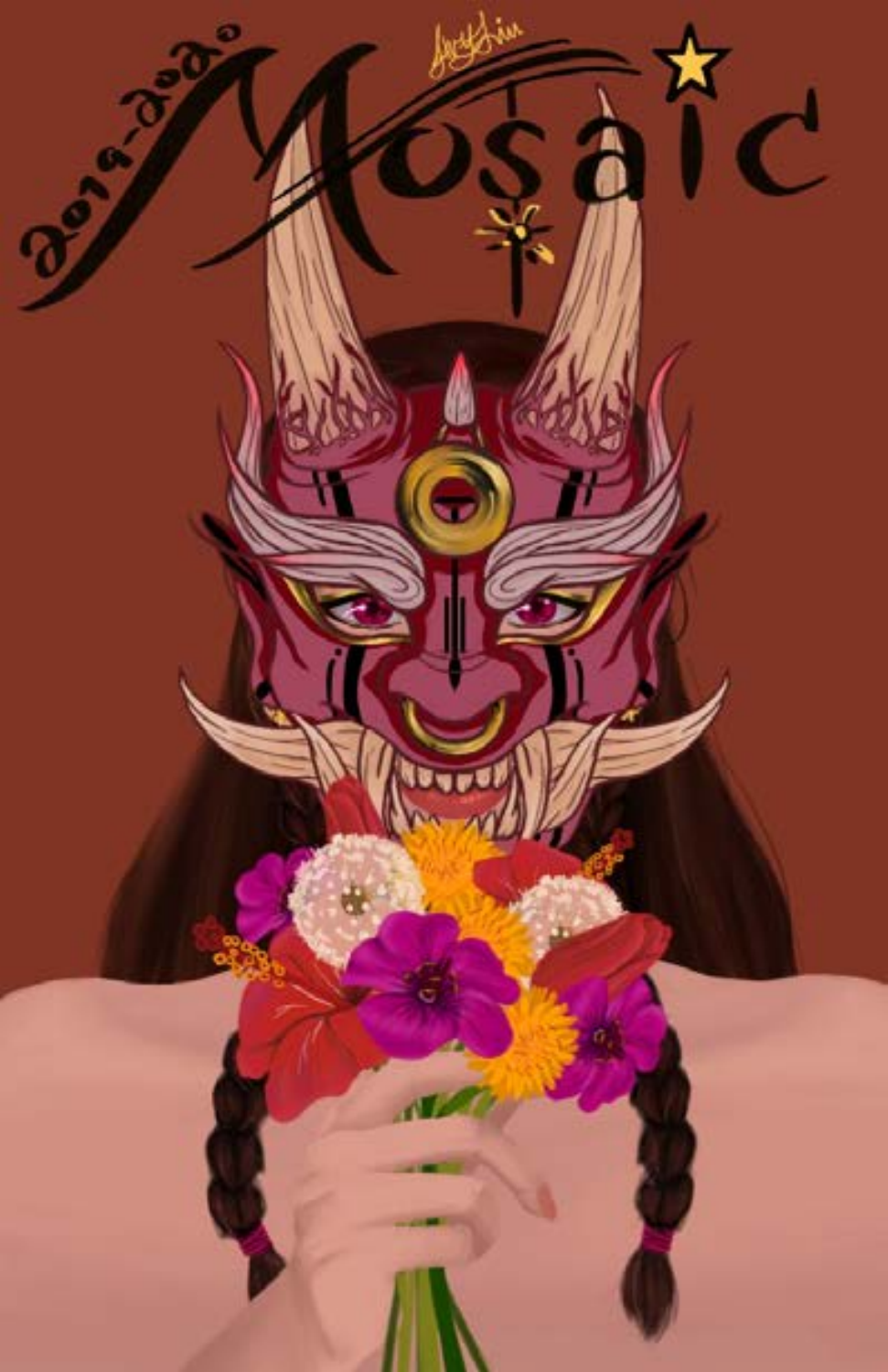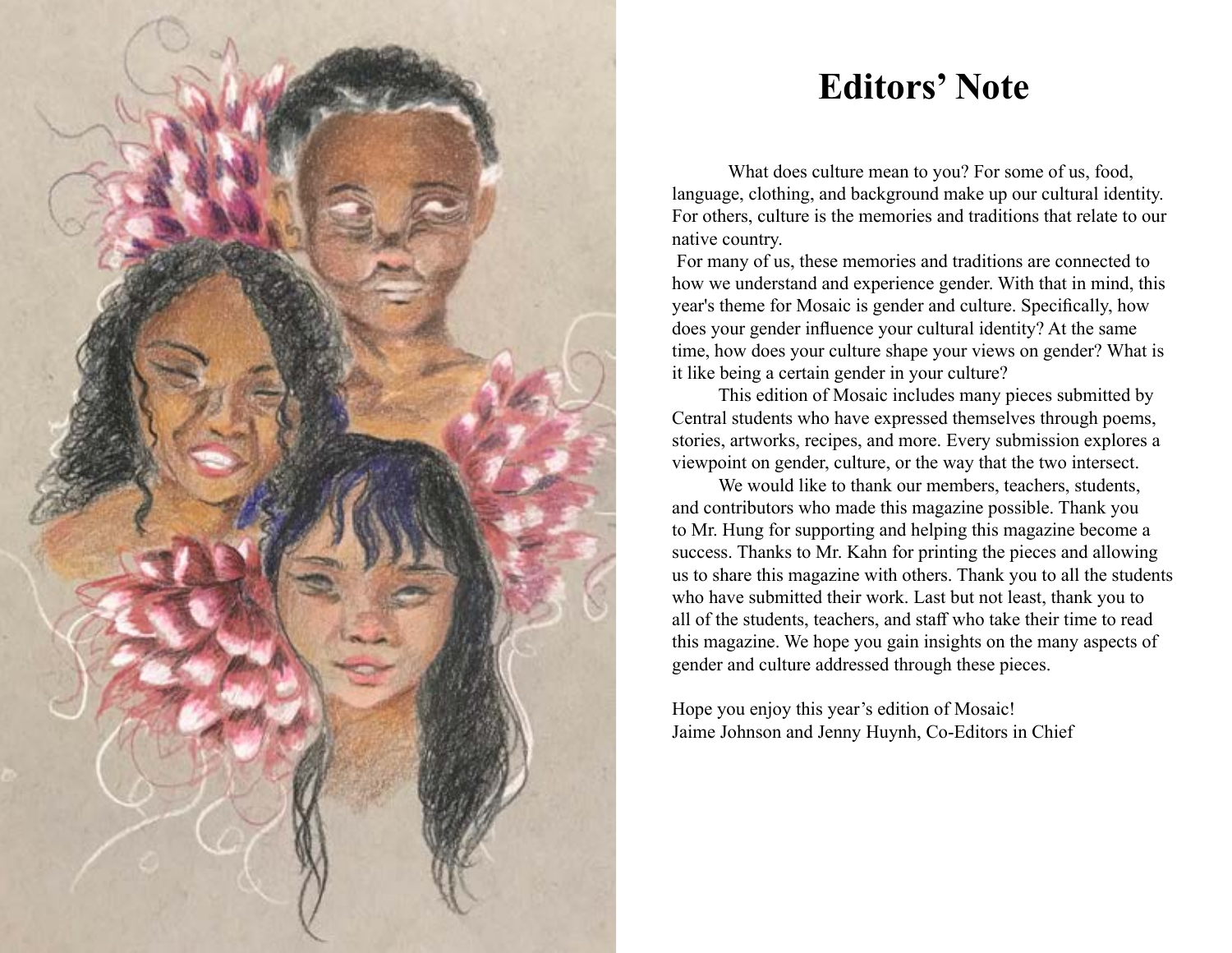

# **Editors' Note**

What does culture mean to you? For some of us, food, language, clothing, and background make up our cultural identity. For others, culture is the memories and traditions that relate to our native country.

 For many of us, these memories and traditions are connected to how we understand and experience gender. With that in mind, this year's theme for Mosaic is gender and culture. Specifically, how does your gender influence your cultural identity? At the same time, how does your culture shape your views on gender? What is it like being a certain gender in your culture?

 This edition of Mosaic includes many pieces submitted by Central students who have expressed themselves through poems, stories, artworks, recipes, and more. Every submission explores a viewpoint on gender, culture, or the way that the two intersect.

We would like to thank our members, teachers, students, and contributors who made this magazine possible. Thank you to Mr. Hung for supporting and helping this magazine become a success. Thanks to Mr. Kahn for printing the pieces and allowing us to share this magazine with others. Thank you to all the students who have submitted their work. Last but not least, thank you to all of the students, teachers, and staff who take their time to read this magazine. We hope you gain insights on the many aspects of gender and culture addressed through these pieces.

Hope you enjoy this year's edition of Mosaic! Jaime Johnson and Jenny Huynh, Co-Editors in Chief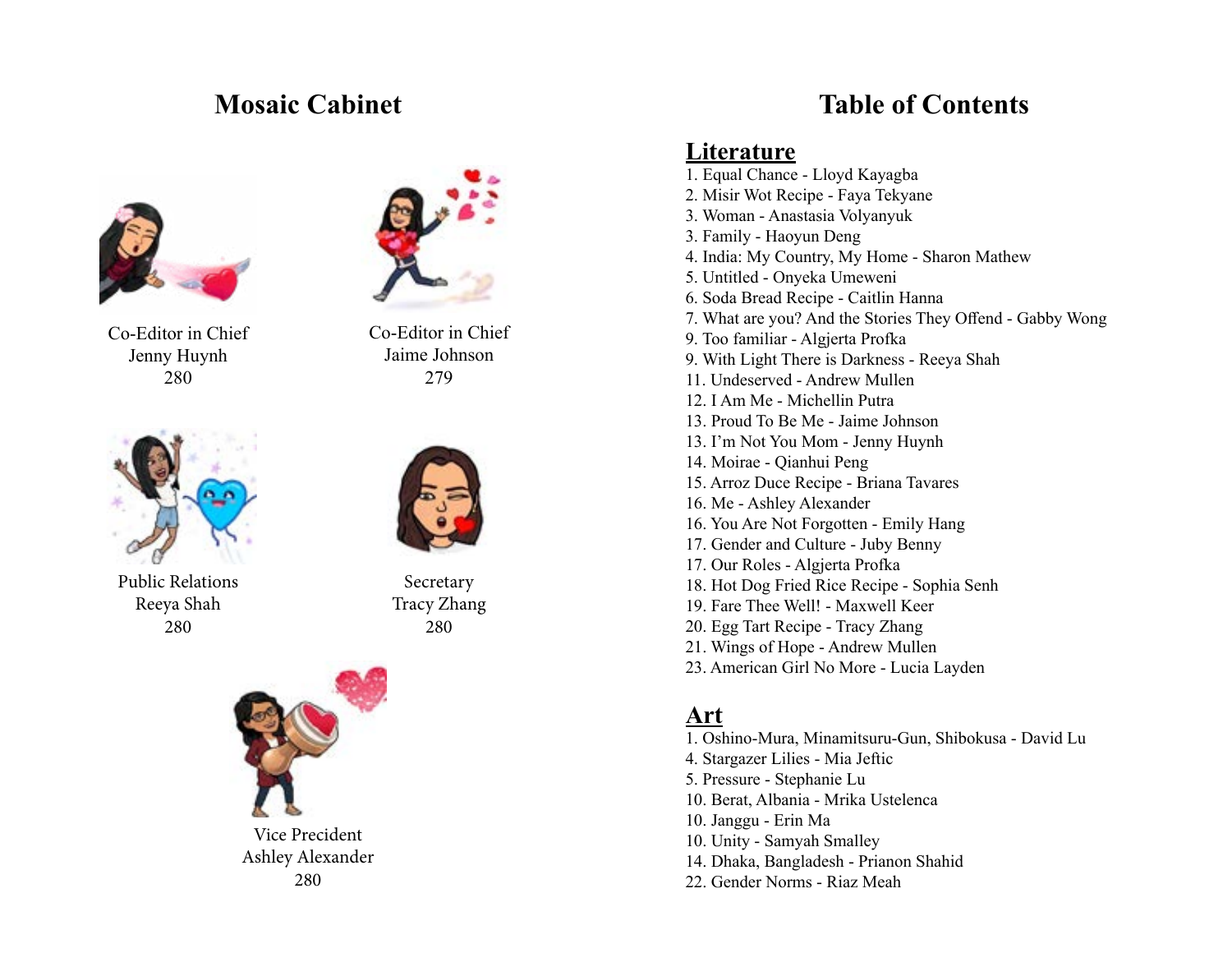

Co-Editor in Chief Jenny Huynh 280



Public Relations Reeya Shah 280



Co-Editor in Chief Jaime Johnson 279



Secretary Tracy Zhang 280



**Mosaic Cabinet Table of Contents**

### **Literature**

1. Equal Chance - Lloyd Kayagba 2. Misir Wot Recipe - Faya Tekyane 3. Woman - Anastasia Volyanyuk 3. Family - Haoyun Deng 4. India: My Country, My Home - Sharon Mathew 5. Untitled - Onyeka Umeweni 6. Soda Bread Recipe - Caitlin Hanna 7. What are you? And the Stories They Offend - Gabby Wong 9. Too familiar - Algjerta Profka 9. With Light There is Darkness - Reeya Shah 11. Undeserved - Andrew Mullen 12. I Am Me - Michellin Putra 13. Proud To Be Me - Jaime Johnson 13. I'm Not You Mom - Jenny Huynh 14. Moirae - Qianhui Peng 15. Arroz Duce Recipe - Briana Tavares 16. Me - Ashley Alexander 16. You Are Not Forgotten - Emily Hang 17. Gender and Culture - Juby Benny 17. Our Roles - Algjerta Profka 18. Hot Dog Fried Rice Recipe - Sophia Senh 19. Fare Thee Well! - Maxwell Keer 20. Egg Tart Recipe - Tracy Zhang 21. Wings of Hope - Andrew Mullen 23. American Girl No More - Lucia Layden

## **Art**

- 1. Oshino-Mura, Minamitsuru-Gun, Shibokusa David Lu
- 4. Stargazer Lilies Mia Jeftic
- 5. Pressure Stephanie Lu
- 10. Berat, Albania Mrika Ustelenca
- 10. Janggu Erin Ma
- 10. Unity Samyah Smalley
- 14. Dhaka, Bangladesh Prianon Shahid
- 22. Gender Norms Riaz Meah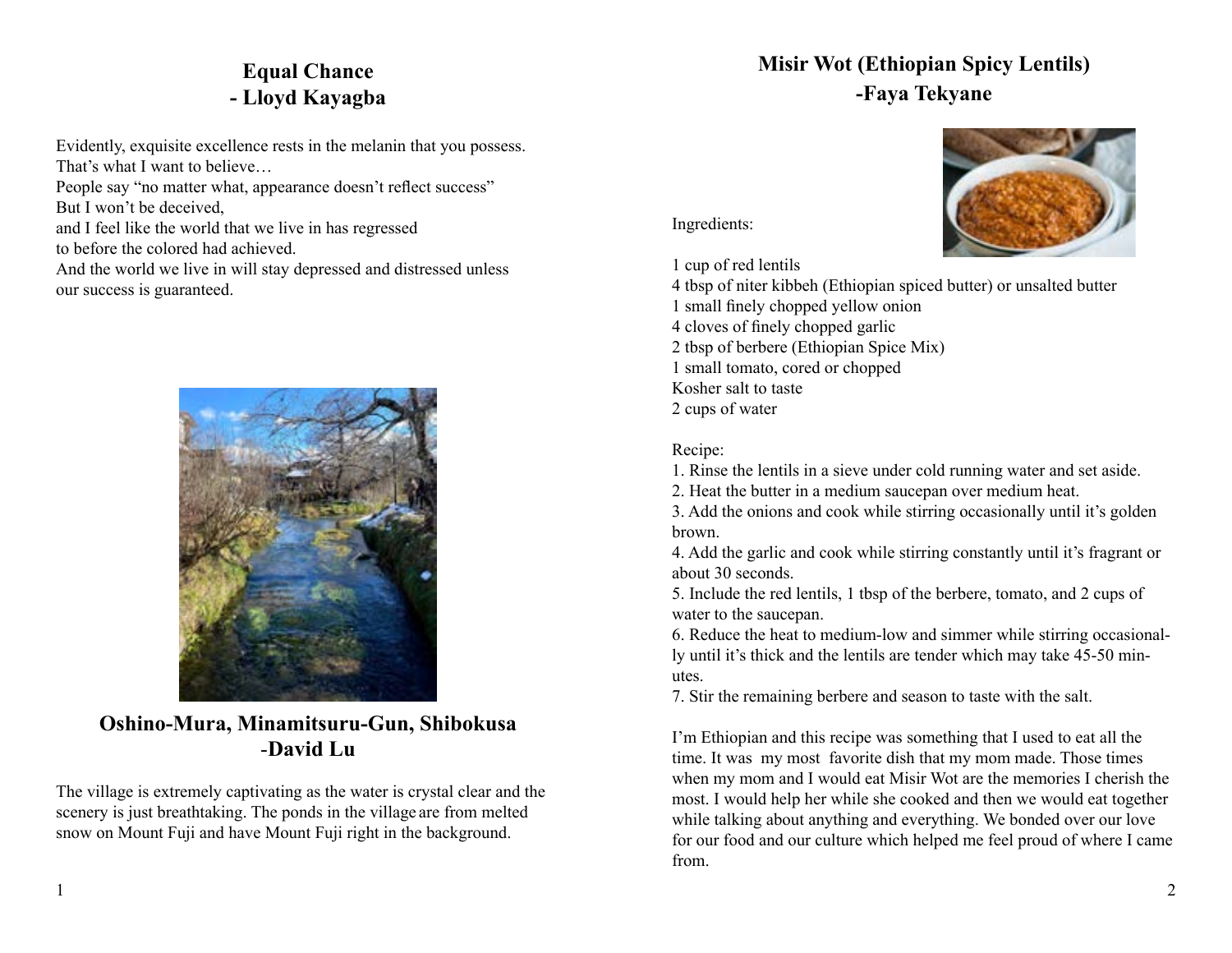## **Equal Chance - Lloyd Kayagba**

Evidently, exquisite excellence rests in the melanin that you possess. That's what I want to believe…

People say "no matter what, appearance doesn't reflect success" But I won't be deceived,

and I feel like the world that we live in has regressed

to before the colored had achieved.

And the world we live in will stay depressed and distressed unless our success is guaranteed.



**Oshino-Mura, Minamitsuru-Gun, Shibokusa** -**David Lu**

The village is extremely captivating as the water is crystal clear and the scenery is just breathtaking. The ponds in the village are from melted snow on Mount Fuji and have Mount Fuji right in the background.

## **Misir Wot (Ethiopian Spicy Lentils) -Faya Tekyane**



Ingredients:

1 cup of red lentils

4 tbsp of niter kibbeh (Ethiopian spiced butter) or unsalted butter 1 small finely chopped yellow onion

4 cloves of finely chopped garlic

2 tbsp of berbere (Ethiopian Spice Mix) 1 small tomato, cored or chopped

Kosher salt to taste

2 cups of water

#### Recipe:

1. Rinse the lentils in a sieve under cold running water and set aside.

2. Heat the butter in a medium saucepan over medium heat.

3. Add the onions and cook while stirring occasionally until it's golden brown.

4. Add the garlic and cook while stirring constantly until it's fragrant or about 30 seconds.

5. Include the red lentils, 1 tbsp of the berbere, tomato, and 2 cups of water to the saucepan.

6. Reduce the heat to medium-low and simmer while stirring occasionally until it's thick and the lentils are tender which may take 45-50 minutes.

7. Stir the remaining berbere and season to taste with the salt.

I'm Ethiopian and this recipe was something that I used to eat all the time. It was my most favorite dish that my mom made. Those times when my mom and I would eat Misir Wot are the memories I cherish the most. I would help her while she cooked and then we would eat together while talking about anything and everything. We bonded over our love for our food and our culture which helped me feel proud of where I came from.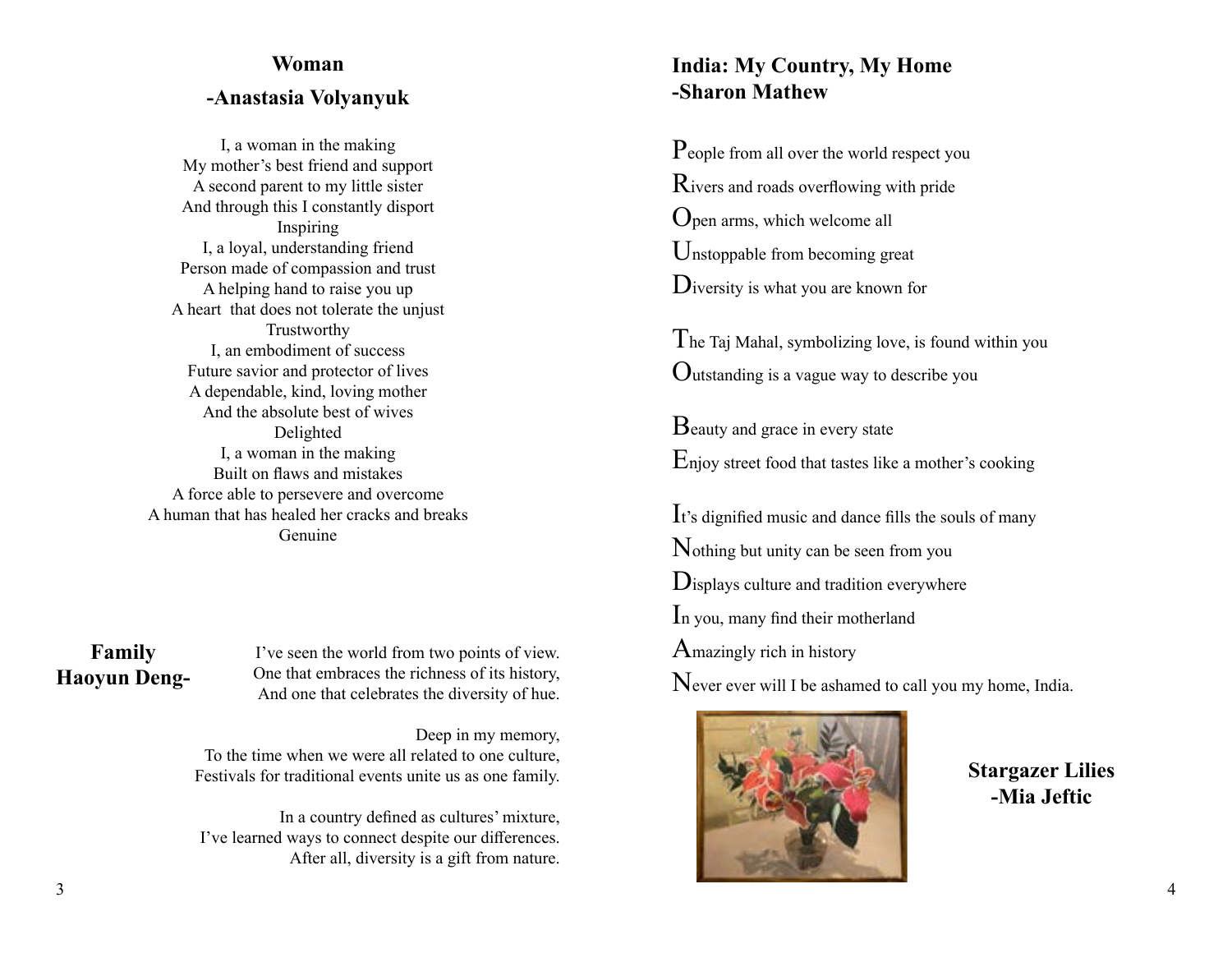## **Woman -Anastasia Volyanyuk**

I, a woman in the making My mother's best friend and support A second parent to my little sister And through this I constantly disport Inspiring I, a loyal, understanding friend Person made of compassion and trust A helping hand to raise you up A heart that does not tolerate the unjust Trustworthy I, an embodiment of success Future savior and protector of lives A dependable, kind, loving mother And the absolute best of wives Delighted I, a woman in the making Built on flaws and mistakes A force able to persevere and overcome A human that has healed her cracks and breaks Genuine

#### **Family Haoyun Deng-**

I've seen the world from two points of view. One that embraces the richness of its history, And one that celebrates the diversity of hue.

Deep in my memory, To the time when we were all related to one culture, Festivals for traditional events unite us as one family.

In a country defined as cultures' mixture, I've learned ways to connect despite our differences. After all, diversity is a gift from nature.

#### **India: My Country, My Home -Sharon Mathew**

People from all over the world respect you Rivers and roads overflowing with pride Open arms, which welcome all Unstoppable from becoming great Diversity is what you are known for

The Taj Mahal, symbolizing love, is found within you Outstanding is a vague way to describe you

Beauty and grace in every state Enjoy street food that tastes like a mother's cooking

It's dignified music and dance fills the souls of many Nothing but unity can be seen from you Displays culture and tradition everywhere In you, many find their motherland Amazingly rich in history Never ever will I be ashamed to call you my home, India.



**Stargazer Lilies -Mia Jeftic**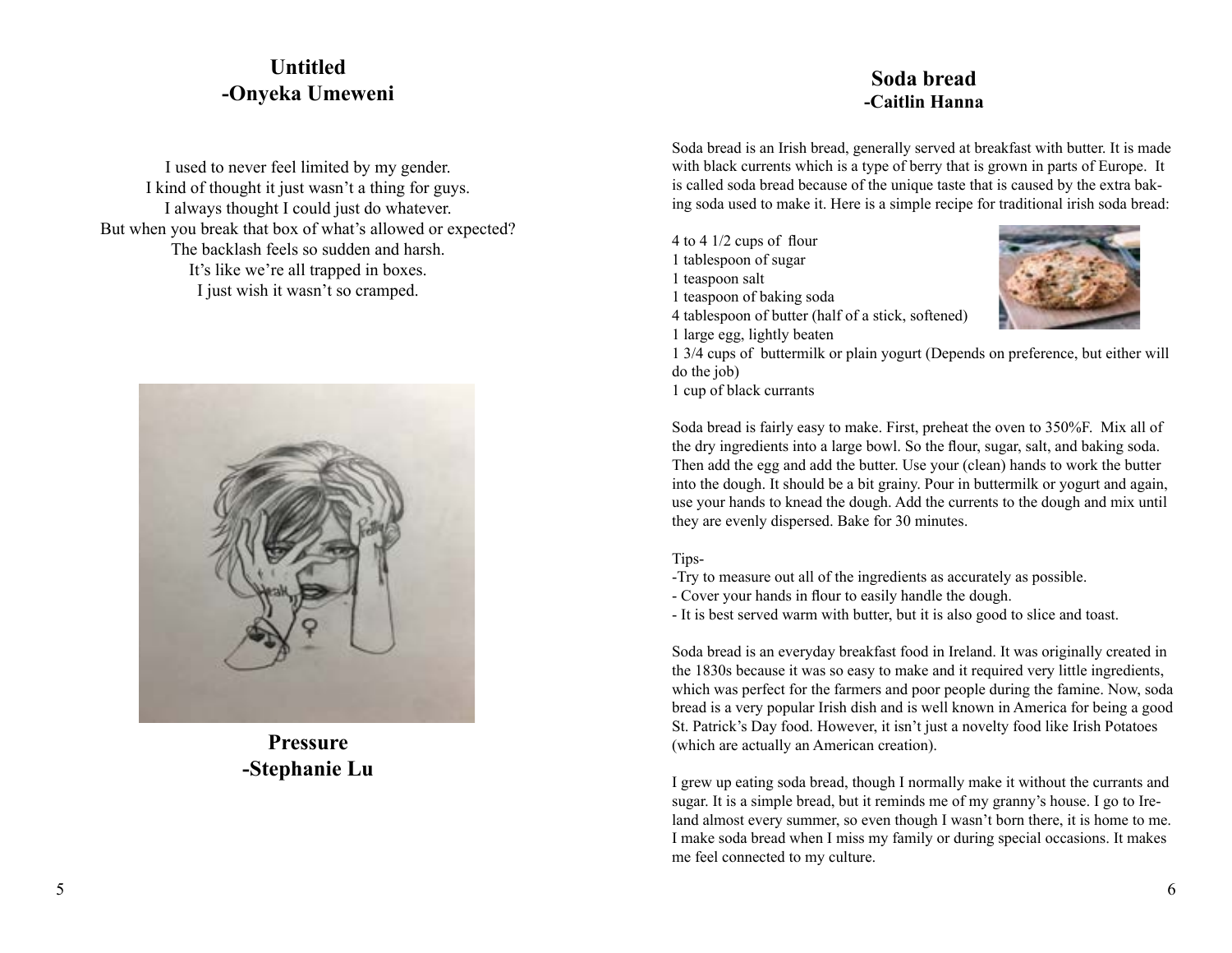#### **Untitled -Onyeka Umeweni**

I used to never feel limited by my gender. I kind of thought it just wasn't a thing for guys. I always thought I could just do whatever. But when you break that box of what's allowed or expected? The backlash feels so sudden and harsh. It's like we're all trapped in boxes. I just wish it wasn't so cramped.



**Pressure -Stephanie Lu**

#### **Soda bread -Caitlin Hanna**

Soda bread is an Irish bread, generally served at breakfast with butter. It is made with black currents which is a type of berry that is grown in parts of Europe. It is called soda bread because of the unique taste that is caused by the extra baking soda used to make it. Here is a simple recipe for traditional irish soda bread:

4 to 4 1/2 cups of flour 1 tablespoon of sugar 1 teaspoon salt 1 teaspoon of baking soda 4 tablespoon of butter (half of a stick, softened) 1 large egg, lightly beaten



1 3/4 cups of buttermilk or plain yogurt (Depends on preference, but either will do the job)

1 cup of black currants

Soda bread is fairly easy to make. First, preheat the oven to 350%F. Mix all of the dry ingredients into a large bowl. So the flour, sugar, salt, and baking soda. Then add the egg and add the butter. Use your (clean) hands to work the butter into the dough. It should be a bit grainy. Pour in buttermilk or yogurt and again, use your hands to knead the dough. Add the currents to the dough and mix until they are evenly dispersed. Bake for 30 minutes.

#### Tips-

- -Try to measure out all of the ingredients as accurately as possible.
- Cover your hands in flour to easily handle the dough.

- It is best served warm with butter, but it is also good to slice and toast.

Soda bread is an everyday breakfast food in Ireland. It was originally created in the 1830s because it was so easy to make and it required very little ingredients, which was perfect for the farmers and poor people during the famine. Now, soda bread is a very popular Irish dish and is well known in America for being a good St. Patrick's Day food. However, it isn't just a novelty food like Irish Potatoes (which are actually an American creation).

I grew up eating soda bread, though I normally make it without the currants and sugar. It is a simple bread, but it reminds me of my granny's house. I go to Ireland almost every summer, so even though I wasn't born there, it is home to me. I make soda bread when I miss my family or during special occasions. It makes me feel connected to my culture.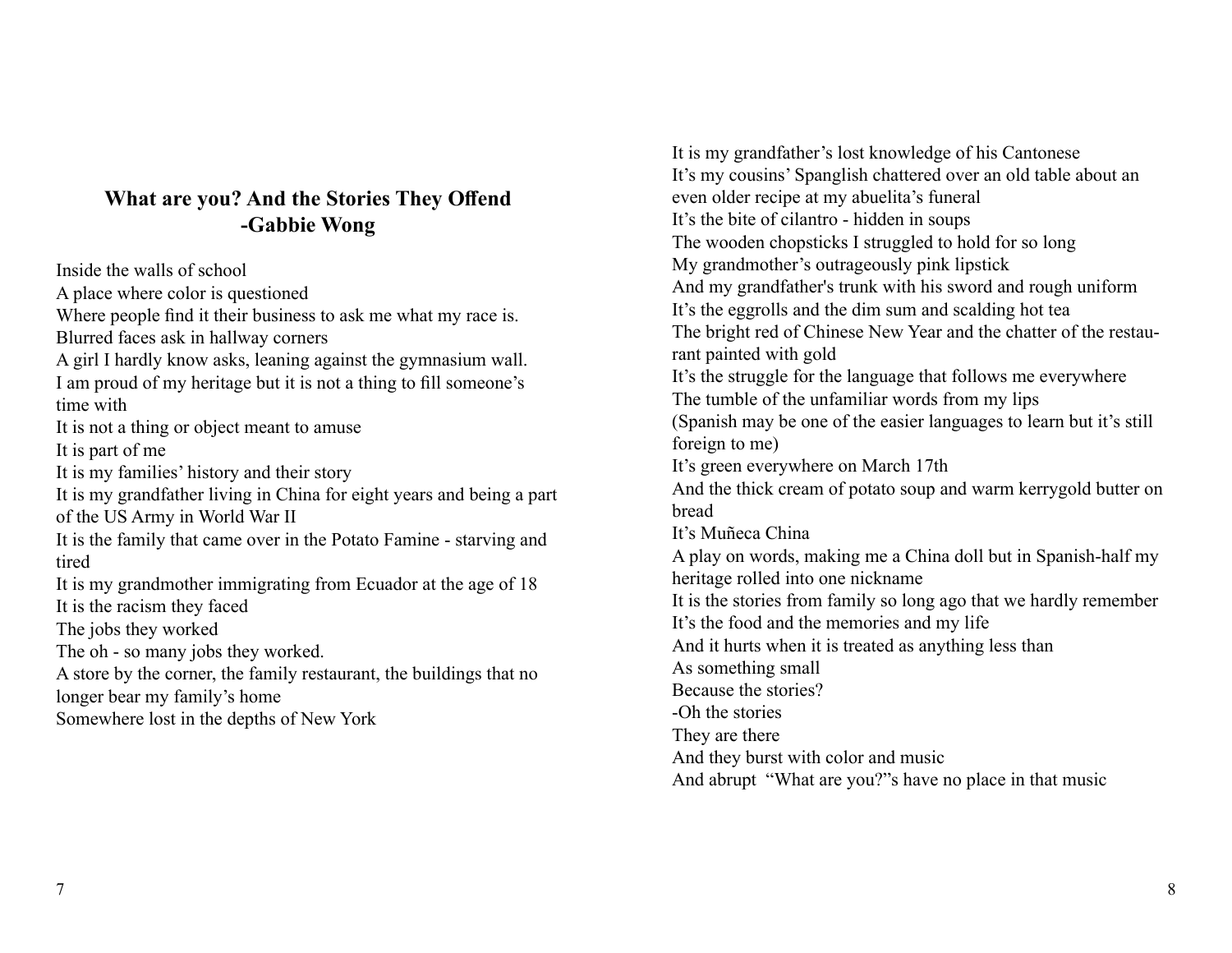#### **What are you? And the Stories They Offend -Gabbie Wong**

Inside the walls of school A place where color is questioned Where people find it their business to ask me what my race is. Blurred faces ask in hallway corners A girl I hardly know asks, leaning against the gymnasium wall. I am proud of my heritage but it is not a thing to fill someone's time with It is not a thing or object meant to amuse It is part of me It is my families' history and their story It is my grandfather living in China for eight years and being a part of the US Army in World War II It is the family that came over in the Potato Famine - starving and tired It is my grandmother immigrating from Ecuador at the age of 18 It is the racism they faced The jobs they worked The oh - so many jobs they worked. A store by the corner, the family restaurant, the buildings that no longer bear my family's home Somewhere lost in the depths of New York

It is my grandfather's lost knowledge of his Cantonese It's my cousins' Spanglish chattered over an old table about an even older recipe at my abuelita's funeral It's the bite of cilantro - hidden in soups The wooden chopsticks I struggled to hold for so long My grandmother's outrageously pink lipstick And my grandfather's trunk with his sword and rough uniform It's the eggrolls and the dim sum and scalding hot tea The bright red of Chinese New Year and the chatter of the restaurant painted with gold It's the struggle for the language that follows me everywhere The tumble of the unfamiliar words from my lips (Spanish may be one of the easier languages to learn but it's still foreign to me) It's green everywhere on March 17th And the thick cream of potato soup and warm kerrygold butter on bread It's Muñeca China A play on words, making me a China doll but in Spanish-half my heritage rolled into one nickname It is the stories from family so long ago that we hardly remember It's the food and the memories and my life And it hurts when it is treated as anything less than As something small Because the stories? -Oh the stories They are there And they burst with color and music And abrupt "What are you?"s have no place in that music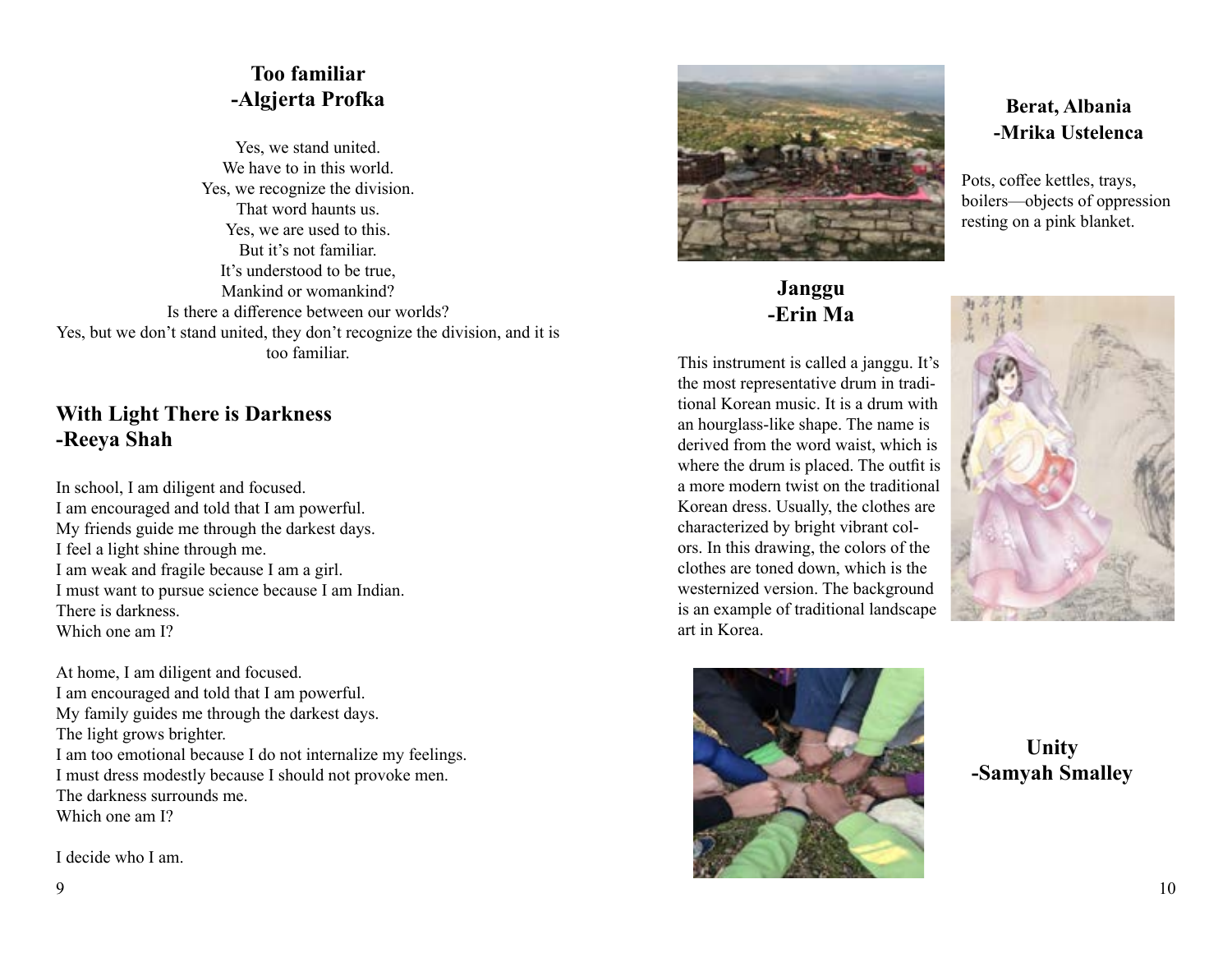### **Too familiar -Algjerta Profka**

Yes, we stand united. We have to in this world. Yes, we recognize the division. That word haunts us. Yes, we are used to this. But it's not familiar. It's understood to be true, Mankind or womankind? Is there a difference between our worlds? Yes, but we don't stand united, they don't recognize the division, and it is too familiar.

#### **With Light There is Darkness -Reeya Shah**

In school, I am diligent and focused. I am encouraged and told that I am powerful. My friends guide me through the darkest days. I feel a light shine through me. I am weak and fragile because I am a girl. I must want to pursue science because I am Indian. There is darkness. Which one am I?

At home, I am diligent and focused. I am encouraged and told that I am powerful. My family guides me through the darkest days. The light grows brighter. I am too emotional because I do not internalize my feelings. I must dress modestly because I should not provoke men. The darkness surrounds me. Which one am I?

I decide who I am.



#### **Janggu -Erin Ma**

This instrument is called a janggu. It's the most representative drum in traditional Korean music. It is a drum with an hourglass-like shape. The name is derived from the word waist, which is where the drum is placed. The outfit is a more modern twist on the traditional Korean dress. Usually, the clothes are characterized by bright vibrant colors. In this drawing, the colors of the clothes are toned down, which is the westernized version. The background is an example of traditional landscape art in Korea.



Pots, coffee kettles, trays, boilers—objects of oppression resting on a pink blanket.





**Unity -Samyah Smalley**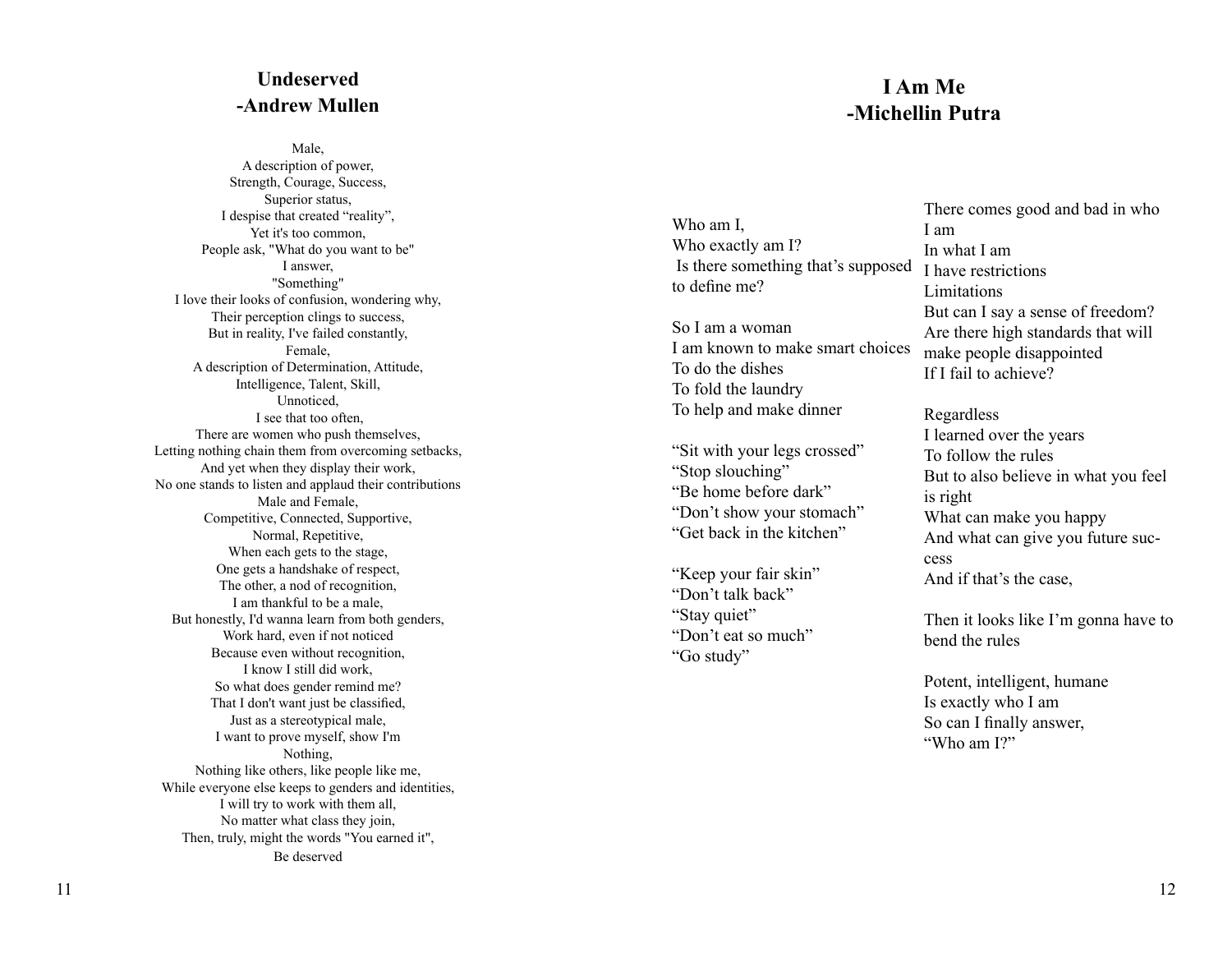#### **Undeserved -Andrew Mullen**

Male, A description of power, Strength, Courage, Success, Superior status, I despise that created "reality", Yet it's too common, People ask, "What do you want to be" I answer, "Something" I love their looks of confusion, wondering why, Their perception clings to success, But in reality, I've failed constantly, Female, A description of Determination, Attitude, Intelligence, Talent, Skill, Unnoticed, I see that too often, There are women who push themselves, Letting nothing chain them from overcoming setbacks, And yet when they display their work, No one stands to listen and applaud their contributions Male and Female, Competitive, Connected, Supportive, Normal, Repetitive, When each gets to the stage, One gets a handshake of respect, The other, a nod of recognition, I am thankful to be a male, But honestly, I'd wanna learn from both genders, Work hard, even if not noticed Because even without recognition, I know I still did work, So what does gender remind me? That I don't want just be classified, Just as a stereotypical male, I want to prove myself, show I'm Nothing, Nothing like others, like people like me, While everyone else keeps to genders and identities, I will try to work with them all, No matter what class they join, Then, truly, might the words "You earned it", Be deserved

#### **I Am Me -Michellin Putra**

Who am I, Who exactly am I? Is there something that's supposed to define me?

So I am a woman I am known to make smart choices To do the dishes To fold the laundry To help and make dinner

"Sit with your legs crossed" "Stop slouching" "Be home before dark" "Don't show your stomach" "Get back in the kitchen"

"Keep your fair skin" "Don't talk back" "Stay quiet" "Don't eat so much" "Go study"

There comes good and bad in who I am In what I am I have restrictions Limitations But can I say a sense of freedom? Are there high standards that will make people disappointed If I fail to achieve?

Regardless I learned over the years To follow the rules But to also believe in what you feel is right What can make you happy And what can give you future suc cess And if that's the case,

Then it looks like I'm gonna have to bend the rules

Potent, intelligent, humane Is exactly who I am So can I finally answer, "Who am I?"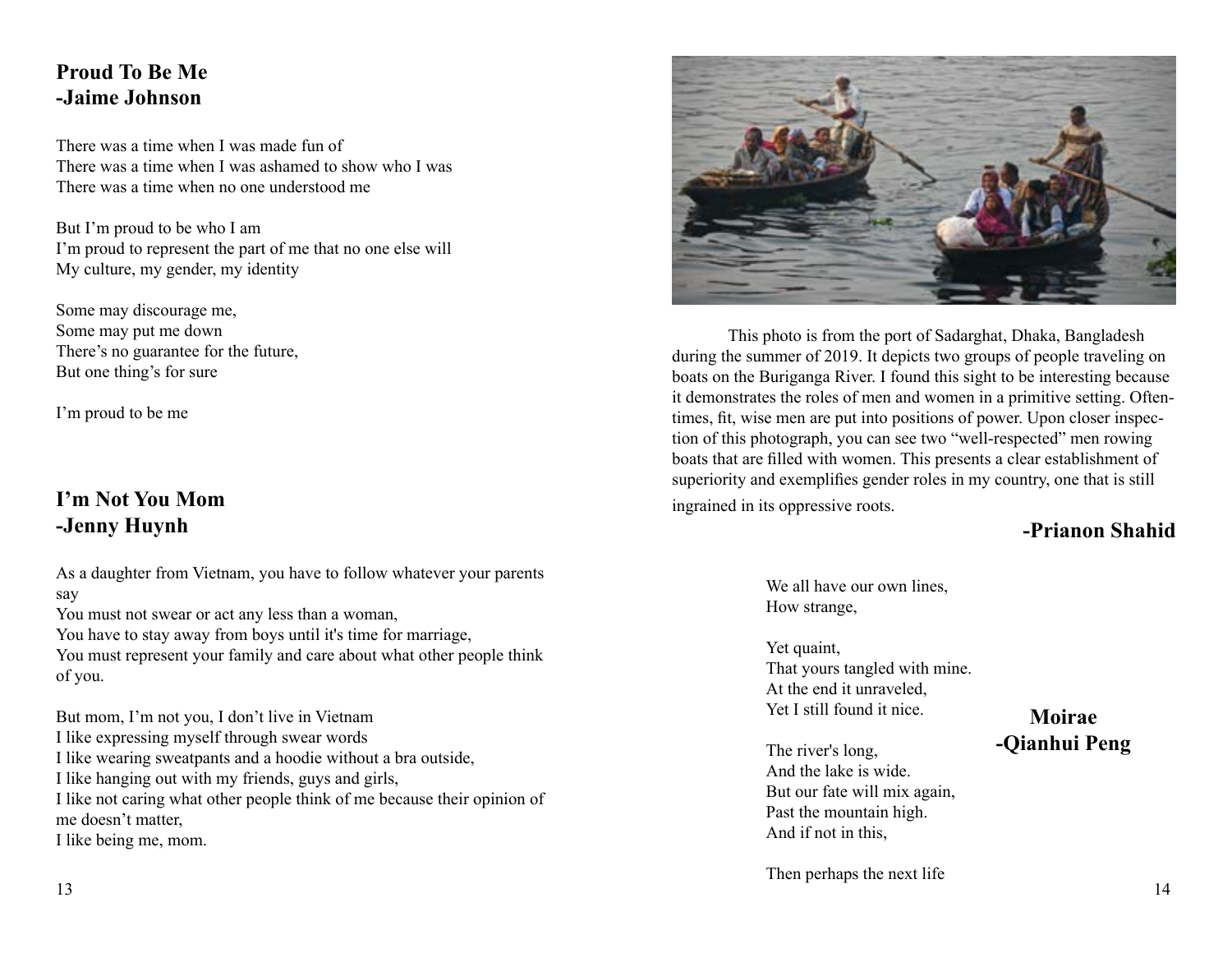#### **Proud To Be Me -Jaime Johnson**

There was a time when I was made fun of There was a time when I was ashamed to show who I was There was a time when no one understood me

But I'm proud to be who I am I'm proud to represent the part of me that no one else will My culture, my gender, my identity

Some may discourage me, Some may put me down There's no guarantee for the future, But one thing's for sure

I'm proud to be me

## **I'm Not You Mom -Jenny Huynh**

As a daughter from Vietnam, you have to follow whatever your parents say You must not swear or act any less than a woman,

You have to stay away from boys until it's time for marriage,

You must represent your family and care about what other people think of you.

But mom, I'm not you, I don't live in Vietnam I like expressing myself through swear words I like wearing sweatpants and a hoodie without a bra outside, I like hanging out with my friends, guys and girls, I like not caring what other people think of me because their opinion of me doesn't matter, I like being me, mom.



This photo is from the port of Sadarghat, Dhaka, Bangladesh during the summer of 2019. It depicts two groups of people traveling on boats on the Buriganga River. I found this sight to be interesting because it demonstrates the roles of men and women in a primitive setting. Oftentimes, fit, wise men are put into positions of power. Upon closer inspection of this photograph, you can see two "well-respected" men rowing boats that are filled with women. This presents a clear establishment of superiority and exemplifies gender roles in my country, one that is still ingrained in its oppressive roots.

### **-Prianon Shahid**

We all have our own lines. How strange,

Yet quaint, That yours tangled with mine. At the end it unraveled, Yet I still found it nice.

**Moirae -Qianhui Peng**

The river's long, And the lake is wide. But our fate will mix again, Past the mountain high. And if not in this,

Then perhaps the next life 13 14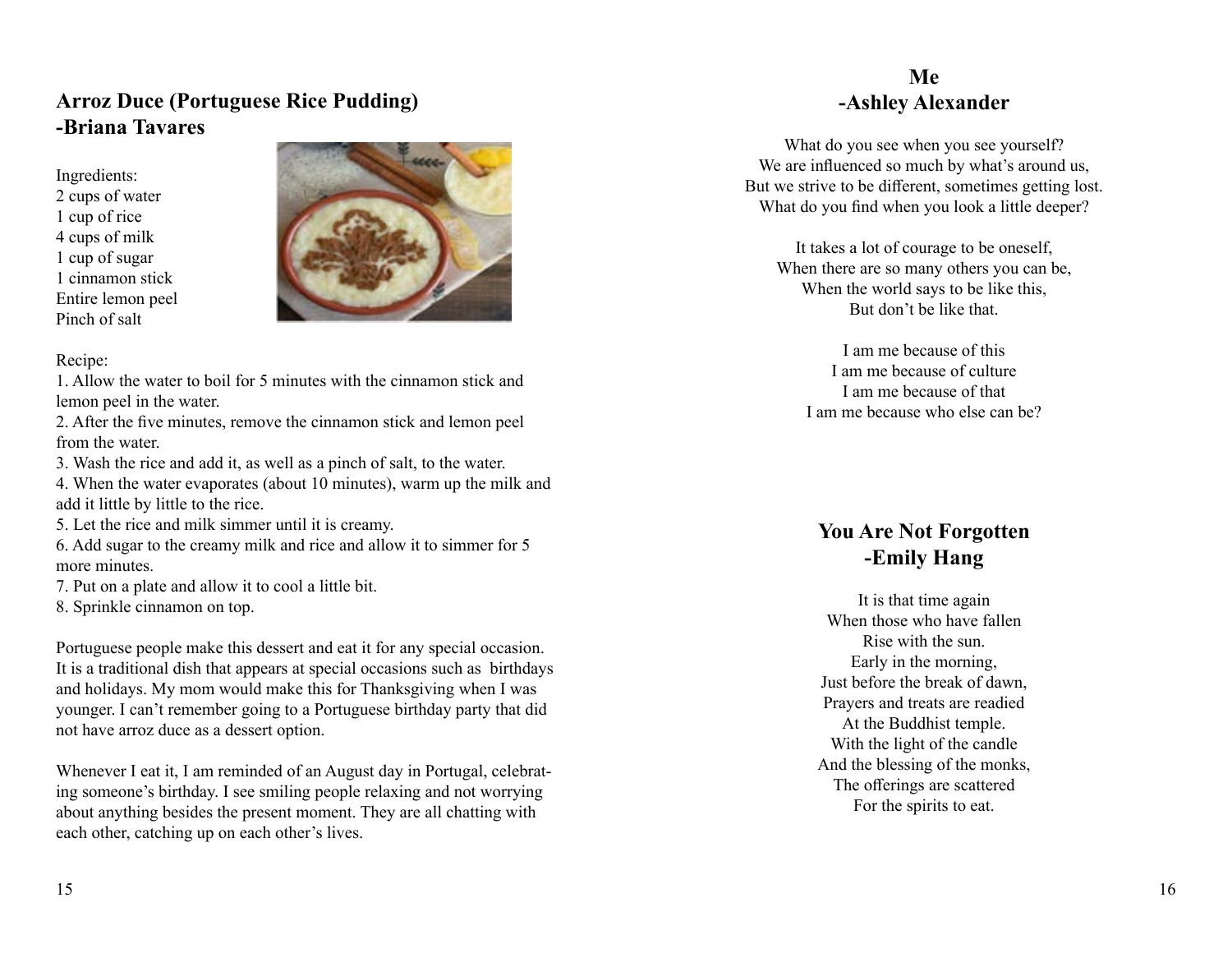#### **Arroz Duce (Portuguese Rice Pudding) -Briana Tavares**

Ingredients: 2 cups of water 1 cup of rice 4 cups of milk 1 cup of sugar 1 cinnamon stick Entire lemon peel Pinch of salt



#### Recipe:

1. Allow the water to boil for 5 minutes with the cinnamon stick and lemon peel in the water.

2. After the five minutes, remove the cinnamon stick and lemon peel from the water.

3. Wash the rice and add it, as well as a pinch of salt, to the water.

4. When the water evaporates (about 10 minutes), warm up the milk and add it little by little to the rice.

5. Let the rice and milk simmer until it is creamy.

6. Add sugar to the creamy milk and rice and allow it to simmer for 5 more minutes.

7. Put on a plate and allow it to cool a little bit.

8. Sprinkle cinnamon on top.

Portuguese people make this dessert and eat it for any special occasion. It is a traditional dish that appears at special occasions such as birthdays and holidays. My mom would make this for Thanksgiving when I was younger. I can't remember going to a Portuguese birthday party that did not have arroz duce as a dessert option.

Whenever I eat it, I am reminded of an August day in Portugal, celebrat ing someone's birthday. I see smiling people relaxing and not worrying about anything besides the present moment. They are all chatting with each other, catching up on each other's lives.

### **Me -Ashley Alexander**

What do you see when you see yourself? We are influenced so much by what's around us, But we strive to be different, sometimes getting lost. What do you find when you look a little deeper?

It takes a lot of courage to be oneself, When there are so many others you can be, When the world says to be like this, But don't be like that.

I am me because of this I am me because of culture I am me because of that I am me because who else can be?

### **You Are Not Forgotten -Emily Hang**

It is that time again When those who have fallen Rise with the sun. Early in the morning, Just before the break of dawn, Prayers and treats are readied At the Buddhist temple. With the light of the candle And the blessing of the monks, The offerings are scattered For the spirits to eat.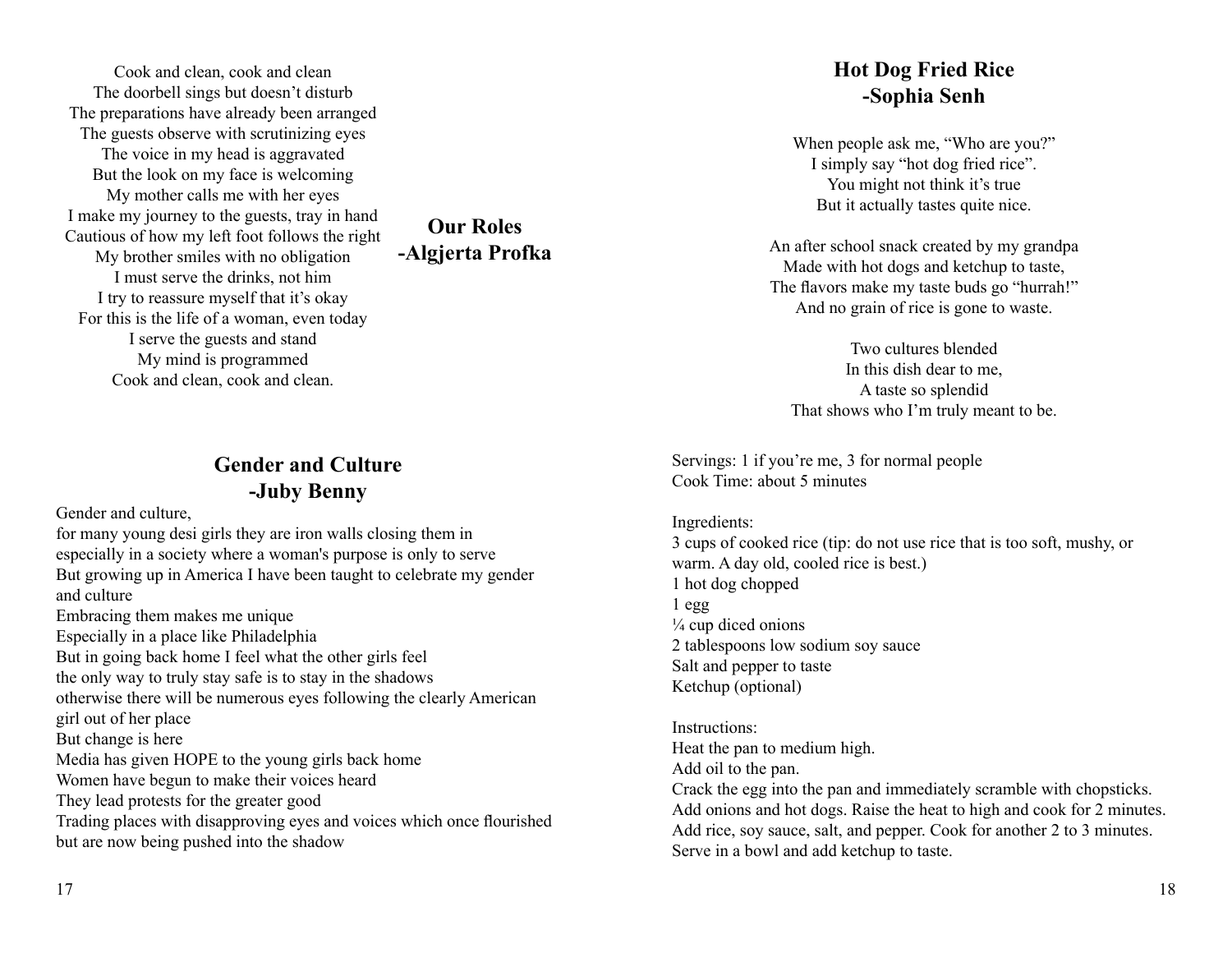Cook and clean, cook and clean The doorbell sings but doesn't disturb The preparations have already been arranged The guests observe with scrutinizing eyes The voice in my head is aggravated But the look on my face is welcoming My mother calls me with her eyes I make my journey to the guests, tray in hand Cautious of how my left foot follows the right My brother smiles with no obligation I must serve the drinks, not him I try to reassure myself that it's okay For this is the life of a woman, even today I serve the guests and stand My mind is programmed Cook and clean, cook and clean.

#### **Gender and Culture -Juby Benny**

**Our Roles -Algjerta Profka**

Gender and culture,

for many young desi girls they are iron walls closing them in especially in a society where a woman's purpose is only to serve But growing up in America I have been taught to celebrate my gender and culture Embracing them makes me unique Especially in a place like Philadelphia But in going back home I feel what the other girls feel the only way to truly stay safe is to stay in the shadows otherwise there will be numerous eyes following the clearly American girl out of her place But change is here Media has given HOPE to the young girls back home Women have begun to make their voices heard They lead protests for the greater good Trading places with disapproving eyes and voices which once flourished but are now being pushed into the shadow

### **Hot Dog Fried Rice -Sophia Senh**

When people ask me, "Who are you?" I simply say "hot dog fried rice". You might not think it's true But it actually tastes quite nice.

An after school snack created by my grandpa Made with hot dogs and ketchup to taste, The flavors make my taste buds go "hurrah!" And no grain of rice is gone to waste.

Two cultures blended In this dish dear to me, A taste so splendid That shows who I'm truly meant to be.

Servings: 1 if you're me, 3 for normal people Cook Time: about 5 minutes

#### Ingredients:

3 cups of cooked rice (tip: do not use rice that is too soft, mushy, or warm. A day old, cooled rice is best.) 1 hot dog chopped 1 egg  $\frac{1}{4}$  cup diced onions 2 tablespoons low sodium soy sauce Salt and pepper to taste Ketchup (optional)

#### Instructions: Heat the pan to medium high. Add oil to the pan. Crack the egg into the pan and immediately scramble with chopsticks. Add onions and hot dogs. Raise the heat to high and cook for 2 minutes. Add rice, soy sauce, salt, and pepper. Cook for another 2 to 3 minutes. Serve in a bowl and add ketchup to taste.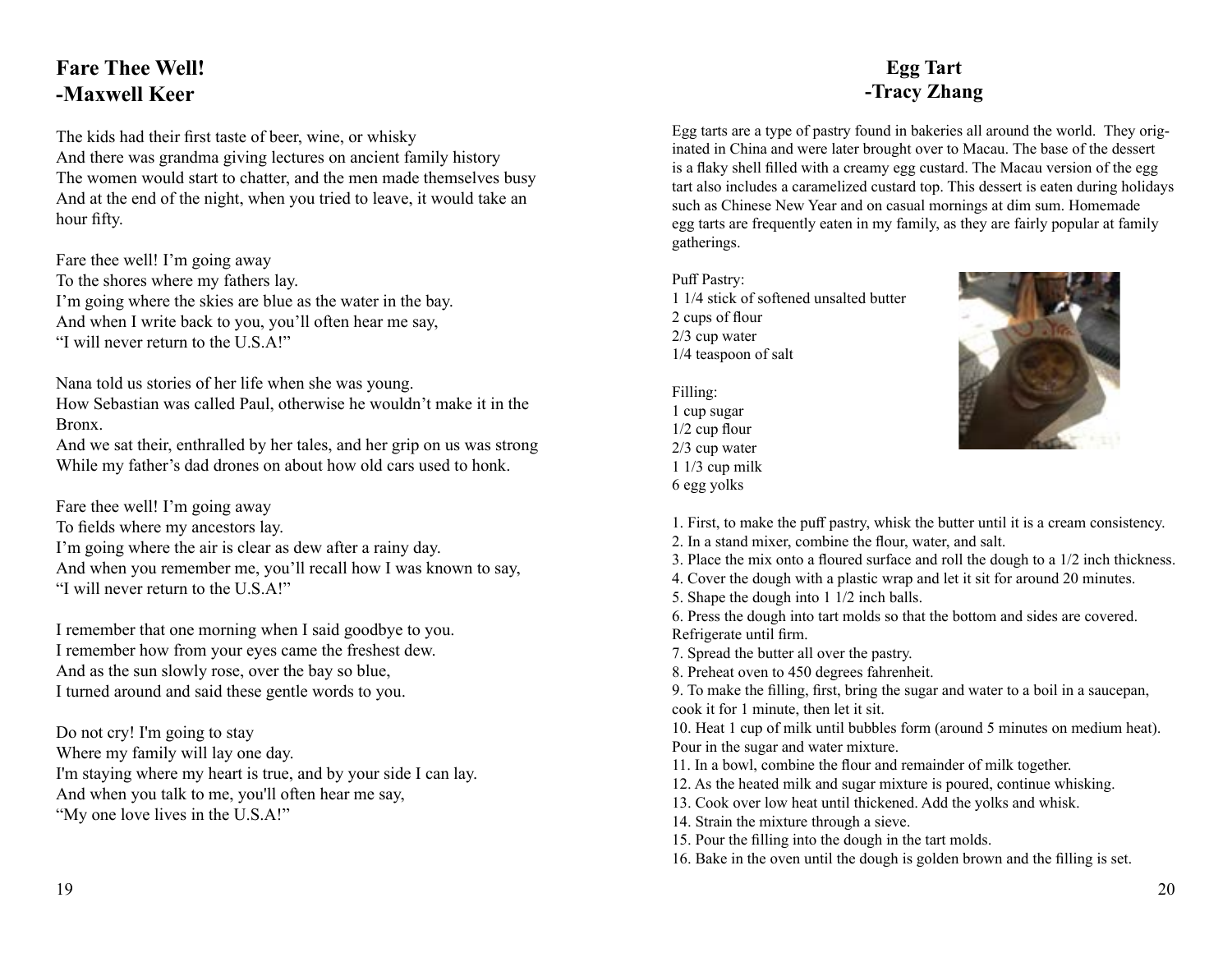## **Fare Thee Well! -Maxwell Keer**

The kids had their first taste of beer, wine, or whisky And there was grandma giving lectures on ancient family history The women would start to chatter, and the men made themselves busy And at the end of the night, when you tried to leave, it would take an hour fifty.

Fare thee well! I'm going away To the shores where my fathers lay. I'm going where the skies are blue as the water in the bay. And when I write back to you, you'll often hear me say, "I will never return to the U.S.A!"

Nana told us stories of her life when she was young.

How Sebastian was called Paul, otherwise he wouldn't make it in the Bronx.

And we sat their, enthralled by her tales, and her grip on us was strong While my father's dad drones on about how old cars used to honk.

Fare thee well! I'm going away To fields where my ancestors lay. I'm going where the air is clear as dew after a rainy day. And when you remember me, you'll recall how I was known to say, "I will never return to the U.S.A!"

I remember that one morning when I said goodbye to you. I remember how from your eyes came the freshest dew. And as the sun slowly rose, over the bay so blue, I turned around and said these gentle words to you.

Do not cry! I'm going to stay Where my family will lay one day. I'm staying where my heart is true, and by your side I can lay. And when you talk to me, you'll often hear me say, "My one love lives in the U.S.A!"

#### **Egg Tart -Tracy Zhang**

Egg tarts are a type of pastry found in bakeries all around the world. They originated in China and were later brought over to Macau. The base of the dessert is a flaky shell filled with a creamy egg custard. The Macau version of the egg tart also includes a caramelized custard top. This dessert is eaten during holidays such as Chinese New Year and on casual mornings at dim sum. Homemade egg tarts are frequently eaten in my family, as they are fairly popular at family gatherings.

Puff Pastry: 1 1/4 stick of softened unsalted butter 2 cups of flour 2/3 cup water 1/4 teaspoon of salt

Filling: 1 cup sugar 1/2 cup flour 2/3 cup water 1 1/3 cup milk 6 egg yolks



1. First, to make the puff pastry, whisk the butter until it is a cream consistency.

- 2. In a stand mixer, combine the flour, water, and salt.
- 3. Place the mix onto a floured surface and roll the dough to a 1/2 inch thickness.
- 4. Cover the dough with a plastic wrap and let it sit for around 20 minutes.
- 5. Shape the dough into 1 1/2 inch balls.

6. Press the dough into tart molds so that the bottom and sides are covered. Refrigerate until firm.

- 7. Spread the butter all over the pastry.
- 8. Preheat oven to 450 degrees fahrenheit.

9. To make the filling, first, bring the sugar and water to a boil in a saucepan, cook it for 1 minute, then let it sit.

10. Heat 1 cup of milk until bubbles form (around 5 minutes on medium heat). Pour in the sugar and water mixture.

- 11. In a bowl, combine the flour and remainder of milk together.
- 12. As the heated milk and sugar mixture is poured, continue whisking.
- 13. Cook over low heat until thickened. Add the yolks and whisk.
- 14. Strain the mixture through a sieve.
- 15. Pour the filling into the dough in the tart molds.
- 16. Bake in the oven until the dough is golden brown and the filling is set.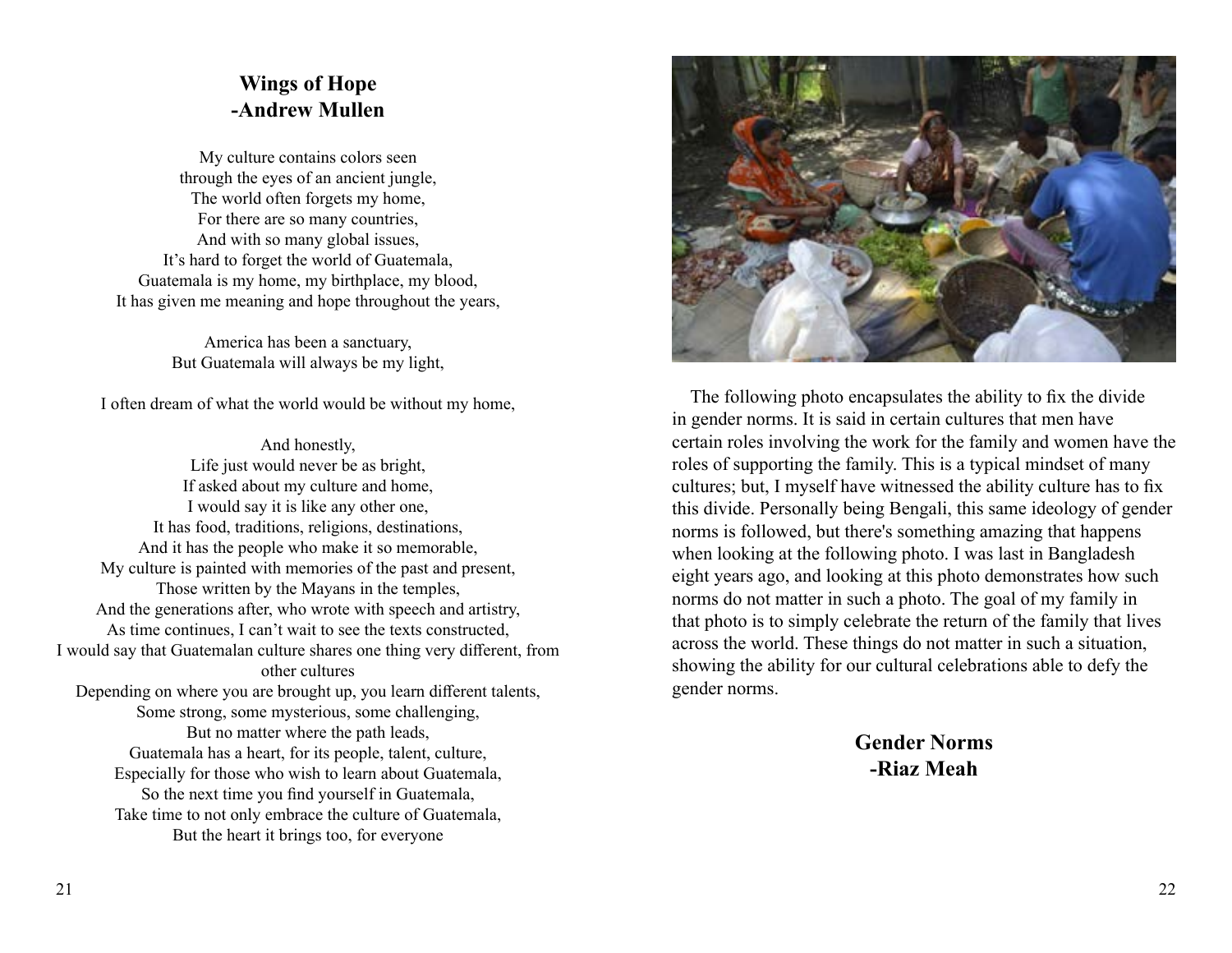#### **Wings of Hope -Andrew Mullen**

My culture contains colors seen through the eyes of an ancient jungle, The world often forgets my home, For there are so many countries, And with so many global issues, It's hard to forget the world of Guatemala, Guatemala is my home, my birthplace, my blood, It has given me meaning and hope throughout the years,

> America has been a sanctuary, But Guatemala will always be my light,

I often dream of what the world would be without my home,

And honestly, Life just would never be as bright, If asked about my culture and home, I would say it is like any other one, It has food, traditions, religions, destinations, And it has the people who make it so memorable, My culture is painted with memories of the past and present, Those written by the Mayans in the temples, And the generations after, who wrote with speech and artistry, As time continues, I can't wait to see the texts constructed, I would say that Guatemalan culture shares one thing very different, from other cultures Depending on where you are brought up, you learn different talents, Some strong, some mysterious, some challenging, But no matter where the path leads, Guatemala has a heart, for its people, talent, culture, Especially for those who wish to learn about Guatemala, So the next time you find yourself in Guatemala, Take time to not only embrace the culture of Guatemala, But the heart it brings too, for everyone



 The following photo encapsulates the ability to fix the divide in gender norms. It is said in certain cultures that men have certain roles involving the work for the family and women have the roles of supporting the family. This is a typical mindset of many cultures; but, I myself have witnessed the ability culture has to fix this divide. Personally being Bengali, this same ideology of gender norms is followed, but there's something amazing that happens when looking at the following photo. I was last in Bangladesh eight years ago, and looking at this photo demonstrates how such norms do not matter in such a photo. The goal of my family in that photo is to simply celebrate the return of the family that lives across the world. These things do not matter in such a situation, showing the ability for our cultural celebrations able to defy the gender norms.

> **Gender Norms -Riaz Meah**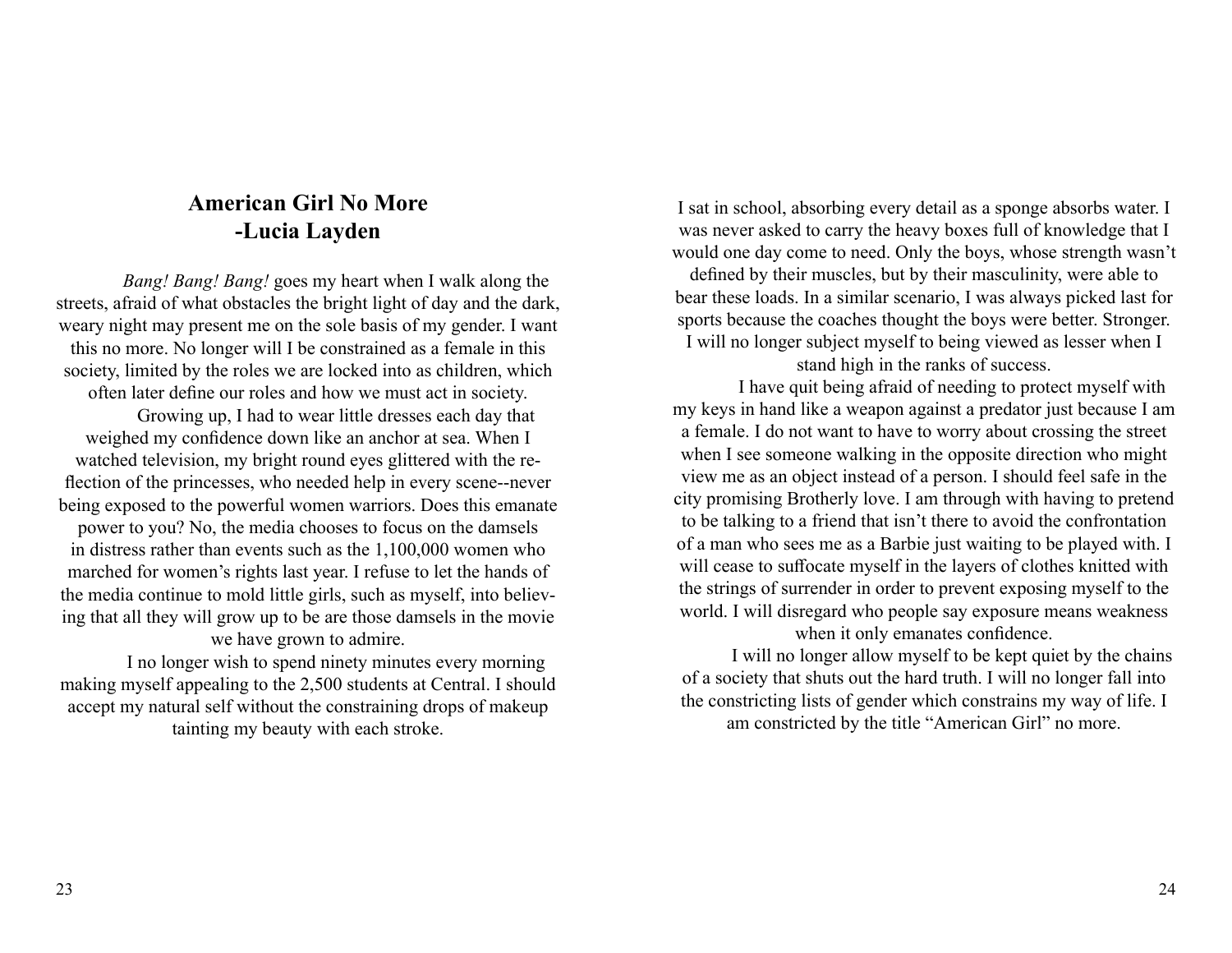## **American Girl No More -Lucia Layden**

*Bang! Bang! Bang!* goes my heart when I walk along the streets, afraid of what obstacles the bright light of day and the dark, weary night may present me on the sole basis of my gender. I want this no more. No longer will I be constrained as a female in this society, limited by the roles we are locked into as children, which often later define our roles and how we must act in society. Growing up, I had to wear little dresses each day that weighed my confidence down like an anchor at sea. When I watched television, my bright round eyes glittered with the reflection of the princesses, who needed help in every scene--never being exposed to the powerful women warriors. Does this emanate power to you? No, the media chooses to focus on the damsels in distress rather than events such as the 1,100,000 women who marched for women's rights last year. I refuse to let the hands of the media continue to mold little girls, such as myself, into believing that all they will grow up to be are those damsels in the movie we have grown to admire.

I no longer wish to spend ninety minutes every morning making myself appealing to the 2,500 students at Central. I should accept my natural self without the constraining drops of makeup tainting my beauty with each stroke.

I sat in school, absorbing every detail as a sponge absorbs water. I was never asked to carry the heavy boxes full of knowledge that I would one day come to need. Only the boys, whose strength wasn't defined by their muscles, but by their masculinity, were able to

bear these loads. In a similar scenario, I was always picked last for sports because the coaches thought the boys were better. Stronger. I will no longer subject myself to being viewed as lesser when I

stand high in the ranks of success.

I have quit being afraid of needing to protect myself with my keys in hand like a weapon against a predator just because I am a female. I do not want to have to worry about crossing the street when I see someone walking in the opposite direction who might view me as an object instead of a person. I should feel safe in the city promising Brotherly love. I am through with having to pretend to be talking to a friend that isn't there to avoid the confrontation of a man who sees me as a Barbie just waiting to be played with. I will cease to suffocate myself in the layers of clothes knitted with the strings of surrender in order to prevent exposing myself to the world. I will disregard who people say exposure means weakness when it only emanates confidence.

 I will no longer allow myself to be kept quiet by the chains of a society that shuts out the hard truth. I will no longer fall into the constricting lists of gender which constrains my way of life. I am constricted by the title "American Girl" no more.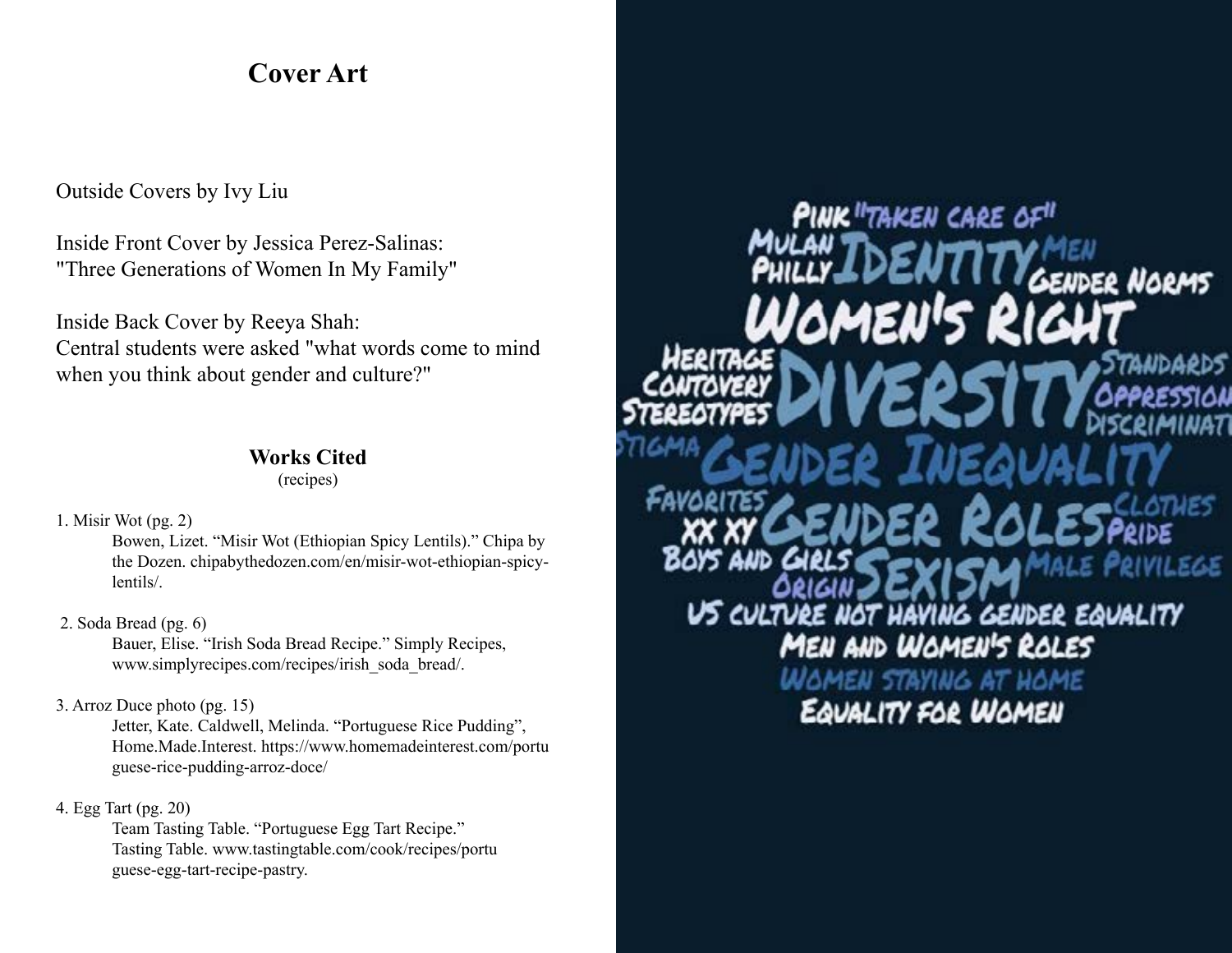## **Cover Art**

#### Outside Covers by Ivy Liu

Inside Front Cover by Jessica Perez-Salinas: "Three Generations of Women In My Family"

Inside Back Cover by Reeya Shah: Central students were asked "what words come to mind when you think about gender and culture?"

#### **Works Cited**

(recipes)

1. Misir Wot (pg. 2)

Bowen, Lizet. "Misir Wot (Ethiopian Spicy Lentils)." Chipa by the Dozen. chipabythedozen.com/en/misir-wot-ethiopian-spicylentils/.

#### 2. Soda Bread (pg. 6)

Bauer, Elise. "Irish Soda Bread Recipe." Simply Recipes, www.simplyrecipes.com/recipes/irish\_soda\_bread/.

#### 3. Arroz Duce photo (pg. 15)

Jetter, Kate. Caldwell, Melinda. "Portuguese Rice Pudding", Home.Made.Interest. https://www.homemadeinterest.com/portu guese-rice-pudding-arroz-doce/

#### 4. Egg Tart (pg. 20)

Team Tasting Table. "Portuguese Egg Tart Recipe." Tasting Table. www.tastingtable.com/cook/recipes/portu guese-egg-tart-recipe-pastry.